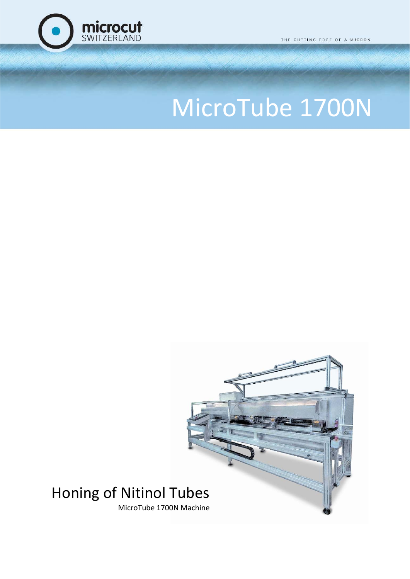

THE CUTTING EDGE OF A MICRON

# MicroTube 1700N

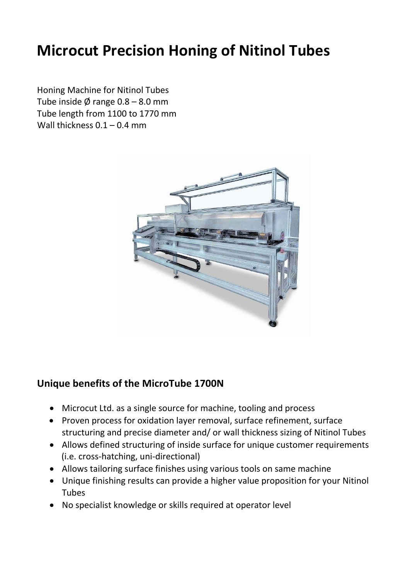# **Microcut Precision Honing of Nitinol Tubes**

Honing Machine for Nitinol Tubes Tube inside  $\emptyset$  range 0.8 – 8.0 mm Tube length from 1100 to 1770 mm Wall thickness 0.1 – 0.4 mm



#### **Unique benefits of the MicroTube 1700N**

- Microcut Ltd. as a single source for machine, tooling and process
- Proven process for oxidation layer removal, surface refinement, surface structuring and precise diameter and/ or wall thickness sizing of Nitinol Tubes
- Allows defined structuring of inside surface for unique customer requirements (i.e. cross-hatching, uni-directional)
- Allows tailoring surface finishes using various tools on same machine
- Unique finishing results can provide a higher value proposition for your Nitinol Tubes
- No specialist knowledge or skills required at operator level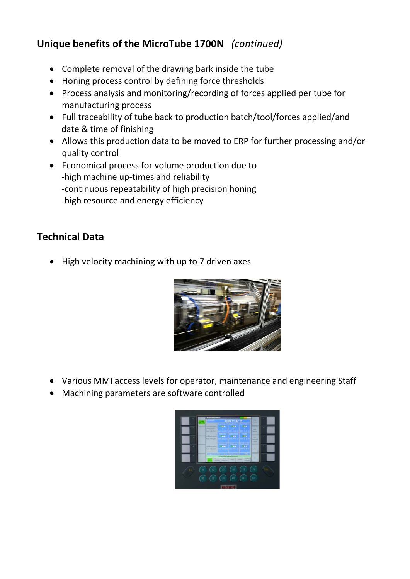# **Unique benefits of the MicroTube 1700N** *(continued)*

- Complete removal of the drawing bark inside the tube
- Honing process control by defining force thresholds
- Process analysis and monitoring/recording of forces applied per tube for manufacturing process
- Full traceability of tube back to production batch/tool/forces applied/and date & time of finishing
- Allows this production data to be moved to ERP for further processing and/or quality control
- Economical process for volume production due to -high machine up-times and reliability -continuous repeatability of high precision honing -high resource and energy efficiency

## **Technical Data**

• High velocity machining with up to 7 driven axes



- Various MMI access levels for operator, maintenance and engineering Staff
- Machining parameters are software controlled